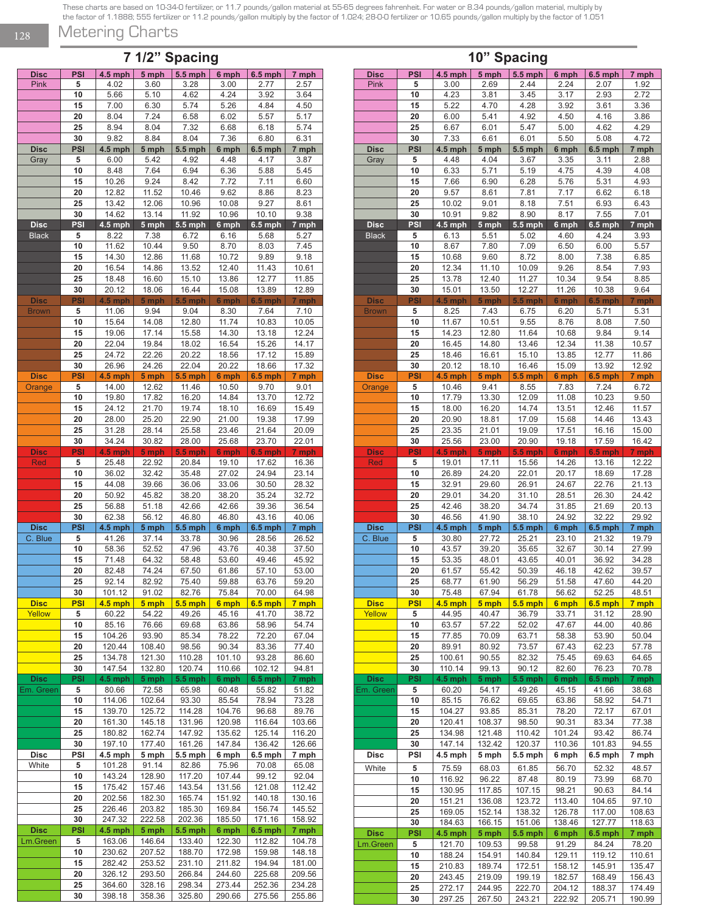# Metering Charts

## **1/2" Spacing 10" Spacing**

| <b>Disc</b>                 | PSI              | $4.5$ mph               | $5$ mph          | $5.5$ mph               | 6 mph            | $6.5$ mph          | 7 mph            |
|-----------------------------|------------------|-------------------------|------------------|-------------------------|------------------|--------------------|------------------|
| Pink                        | 5                | 4.02                    | 3.60             | 3.28                    | 3.00             | 2.77               | 2.57             |
|                             | 10               | 5.66                    | 5.10             | 4.62                    | 4.24             | 3.92               | 3.64             |
|                             | 15<br>20         | 7.00<br>8.04            | 6.30<br>7.24     | 5.74<br>6.58            | 5.26<br>6.02     | 4.84<br>5.57       | 4.50<br>5.17     |
|                             | 25               | 8.94                    | 8.04             | 7.32                    | 6.68             | 6.18               | 5.74             |
|                             | 30               | 9.82                    | 8.84             | 8.04                    | 7.36             | 6.80               | 6.31             |
| <b>Disc</b>                 | PSI              | $4.5$ mph               | 5 mph            | $5.5$ mph               | 6 mph            | $6.5$ mph          | 7 mph            |
| Gray                        | 5                | 6.00                    | 5.42             | 4.92                    | 4.48             | 4.17               | 3.87             |
|                             | 10               | 8.48                    | 7.64             | 6.94                    | 6.36             | 5.88               | 5.45             |
|                             | 15               | 10.26                   | 9.24             | 8.42                    | 7.72             | 7.11               | 6.60             |
|                             | 20               | 12.82                   | 11.52            | 10.46                   | 9.62             | 8.86               | 8.23             |
|                             | 25               | 13.42                   | 12.06            | 10.96                   | 10.08            | 9.27               | 8.61             |
|                             | 30               | 14.62                   | 13.14            | 11.92                   | 10.96            | 10.10              | 9.38             |
| <b>Disc</b><br><b>Black</b> | PSI<br>5         | 4.5 mph<br>8.22         | $5$ mph<br>7.38  | 5.5 mph<br>6.72         | 6 mph<br>6.16    | $6.5$ mph<br>5.68  | $7$ mph<br>5.27  |
|                             | 10               | 11.62                   | 10.44            | 9.50                    | 8.70             | 8.03               | 7.45             |
|                             | 15               | 14.30                   | 12.86            | 11.68                   | 10.72            | 9.89               | 9.18             |
|                             | 20               | 16.54                   | 14.86            | 13.52                   | 12.40            | 11.43              | 10.61            |
|                             | 25               | 18.48                   | 16.60            | 15.10                   | 13.86            | 12.77              | 11.85            |
|                             | 30               | 20.12                   | 18.06            | 16.44                   | 15.08            | 13.89              | 12.89            |
| <b>Disc</b>                 | <b>PSI</b>       | <b>4.5 mph</b>          | 5 mph            | 5.5 mph                 | 6 mph            | 6.5 mph            | 7 mph            |
| <b>Brown</b>                | 5                | 11.06                   | 9.94             | 9.04                    | 8.30             | 7.64               | 7.10             |
|                             | 10               | 15.64                   | 14.08            | 12.80                   | 11.74            | 10.83              | 10.05            |
|                             | 15<br>20         | 19.06<br>22.04          | 17.14<br>19.84   | 15.58<br>18.02          | 14.30<br>16.54   | 13.18<br>15.26     | 12.24<br>14.17   |
|                             | 25               | 24.72                   | 22.26            | 20.22                   | 18.56            | 17.12              | 15.89            |
|                             | 30               | 26.96                   | 24.26            | 22.04                   | 20.22            | 18.66              | 17.32            |
| <b>Disc</b>                 | <b>PSI</b>       | $4.5$ mph               | 5 mph            | <b>5.5 mph</b>          | 6 mph            | $6.5$ mph          | 7 mph            |
| Orange                      | 5                | 14.00                   | 12.62            | 11.46                   | 10.50            | 9.70               | 9.01             |
|                             | 10               | 19.80                   | 17.82            | 16.20                   | 14.84            | 13.70              | 12.72            |
|                             | 15               | 24.12                   | 21.70            | 19.74                   | 18.10            | 16.69              | 15.49            |
|                             | 20               | 28.00                   | 25.20            | 22.90                   | 21.00            | 19.38              | 17.99            |
|                             | 25               | 31.28                   | 28.14            | 25.58                   | 23.46            | 21.64              | 20.09            |
| <b>Disc</b>                 | 30<br><b>PSI</b> | 34.24<br><b>4.5 mph</b> | 30.82<br>5 mph   | 28.00<br><b>5.5 mph</b> | 25.68<br>6 mph   | 23.70<br>$6.5$ mph | 22.01<br>7 mph   |
| <b>Red</b>                  | 5                | 25.48                   | 22.92            | 20.84                   | 19.10            | 17.62              | 16.36            |
|                             | 10               | 36.02                   | 32.42            | 35.48                   | 27.02            | 24.94              | 23.14            |
|                             | 15               | 44.08                   | 39.66            | 36.06                   | 33.06            | 30.50              | 28.32            |
|                             | 20               | 50.92                   | 45.82            | 38.20                   | 38.20            | 35.24              | 32.72            |
|                             | 25               | 56.88                   | 51.18            | 42.66                   | 42.66            | 39.36              | 36.54            |
|                             | 30               | 62.38                   | 56.12            | 46.80                   | 46.80            | 43.16              | 40.06            |
| <b>Disc</b><br>C. Blue      | PSI<br>5         | 4.5 mph<br>41.26        | 5 mph<br>37.14   | <b>5.5 mph</b><br>33.78 | 6 mph<br>30.96   | $6.5$ mph<br>28.56 | 7 mph<br>26.52   |
|                             | 10               | 58.36                   | 52.52            | 47.96                   | 43.76            | 40.38              | 37.50            |
|                             | 15               | 71.48                   | 64.32            | 58.48                   | 53.60            | 49.46              | 45.92            |
|                             | 20               | 82.48                   | 74.24            | 67.50                   | 61.86            | 57.10              | 53.00            |
|                             | 25               | 92.14                   | 82.92            | 75.40                   | 59.88            | 63.76              | 59.20            |
|                             | 30               | 101.12                  | 91.02            | 82.76                   | 75.84            | 70.00              | 64.98            |
| <b>Disc</b>                 | <b>PSI</b>       | $4.5$ mph               | 5 mph            | <b>5.5 mph</b>          | 6 mph            | $6.5$ mph          | 7 mph            |
| Yellow                      | 5<br>10          | 60.22<br>85.16          | 54.22<br>76.66   | 49.26<br>69.68          | 45.16<br>63.86   | 41.70<br>58.96     | 38.72<br>54.74   |
|                             | 15               | 104.26                  | 93.90            | 85.34                   | 78.22            | 72.20              | 67.04            |
|                             | 20               | 120.44                  | 108.40           | 98.56                   | 90.34            | 83.36              | 77.40            |
|                             | 25               | 134.78                  | 121.30           | 110.28                  | 101.10           | 93.28              | 86.60            |
|                             | 30               | 147.54                  | 132.80           | 120.74                  | 110.66           | 102.12             | 94.81            |
| <b>Disc</b>                 | PSI              | $4.5$ mph               | 5 mph            | $5.5$ mph               | 6 mph            | $6.5$ mph          | 7 mph            |
| Em. Green                   | 5                | 80.66                   | 72.58            | 65.98                   | 60.48            | 55.82              | 51.82            |
|                             | 10               | 114.06                  | 102.64           | 93.30                   | 85.54            | 78.94              | 73.28            |
|                             | 15<br>20         | 139.70<br>161.30        | 125.72<br>145.18 | 114.28<br>131.96        | 104.76<br>120.98 | 96.68<br>116.64    | 89.76<br>103.66  |
|                             | 25               | 180.82                  | 162.74           | 147.92                  | 135.62           | 125.14             | 116.20           |
|                             | 30               | 197.10                  | 177.40           | 161.26                  | 147.84           | 136.42             | 126.66           |
| Disc                        | PSI              | 4.5 mph                 | 5 mph            | 5.5 mph                 | 6 mph            | 6.5 mph            | 7 mph            |
| White                       | 5                | 101.28                  | 91.14            | 82.86                   | 75.96            | 70.08              | 65.08            |
|                             | 10               | 143.24                  | 128.90           | 117.20                  | 107.44           | 99.12              | 92.04            |
|                             | 15               | 175.42                  | 157.46           | 143.54                  | 131.56           | 121.08             | 112.42           |
|                             | 20               | 202.56                  | 182.30           | 165.74                  | 151.92           | 140.18             | 130.16           |
|                             | 25<br>30         | 226.46<br>247.32        | 203.82<br>222.58 | 185.30<br>202.36        | 169.84<br>185.50 | 156.74<br>171.16   | 145.52<br>158.92 |
| <b>Disc</b>                 | PSI              | 4.5 mph                 | 5 mph            | <b>5.5 mph</b>          | 6 mph            | 6.5 mph            | 7 mph            |
| Lm.Green                    | 5                | 163.06                  | 146.64           | 133.40                  | 122.30           | 112.82             | 104.78           |
|                             | 10               | 230.62                  | 207.52           | 188.70                  | 172.98           | 159.98             | 148.18           |
|                             | 15               | 282.42                  | 253.52           | 231.10                  | 211.82           | 194.94             | 181.00           |
|                             | 20               | 326.12                  | 293.50           | 266.84                  | 244.60           | 225.68             | 209.56           |
|                             | 25               | 364.60                  | 328.16           | 298.34                  | 273.44           | 252.36             | 234.28           |
|                             | 30               | 398.18                  | 358.36           | 325.80                  | 290.66           | 275.56             | 255.86           |

| <b>Disc</b>                 | PSI        | $4.5$ mph               | $5$ mph          | $5.5$ mph                | 6 mph            | $6.5$ mph         | 7 mph              |
|-----------------------------|------------|-------------------------|------------------|--------------------------|------------------|-------------------|--------------------|
| Pink                        | 5<br>10    | 3.00<br>4.23            | 2.69<br>3.81     | 2.44<br>3.45             | 2.24<br>3.17     | 2.07<br>2.93      | 1.92               |
|                             | 15         | 5.22                    | 4.70             | 4.28                     | 3.92             | 3.61              | 2.72<br>3.36       |
|                             | 20         | 6.00                    | 5.41             | 4.92                     | 4.50             | 4.16              | 3.86               |
|                             | 25         | 6.67                    | 6.01             | 5.47                     | 5.00             | 4.62              | 4.29               |
|                             | 30         | 7.33                    | 6.61             | 6.01                     | 5.50             | 5.08              | 4.72               |
| <b>Disc</b>                 | <b>PSI</b> | $4.5$ mph               | 5 mph            | $5.5$ mph                | 6 mph            | $6.5$ mph         | 7 mph              |
| Gray                        | 5          | 4.48                    | 4.04             | 3.67                     | 3.35             | 3.11              | 2.88               |
|                             | 10         | 6.33                    | 5.71             | 5.19                     | 4.75             | 4.39              | 4.08               |
|                             | 15         | 7.66                    | 6.90             | 6.28                     | 5.76             | 5.31              | 4.93               |
|                             | 20         | 9.57                    | 8.61             | 7.81                     | 7.17             | 6.62              | 6.18               |
|                             | 25         | 10.02                   | 9.01             | 8.18                     | 7.51             | 6.93              | 6.43               |
|                             | 30         | 10.91                   | 9.82             | 8.90                     | 8.17             | 7.55              | 7.01               |
| <b>Disc</b><br><b>Black</b> | PSI<br>5   | 4.5 mph<br>6.13         | 5 mph<br>5.51    | 5.5 mph<br>5.02          | 6 mph<br>4.60    | $6.5$ mph<br>4.24 | 7 mph<br>3.93      |
|                             | 10         | 8.67                    | 7.80             | 7.09                     | 6.50             | 6.00              | 5.57               |
|                             | 15         | 10.68                   | 9.60             | 8.72                     | 8.00             | 7.38              | 6.85               |
|                             | 20         | 12.34                   | 11.10            | 10.09                    | 9.26             | 8.54              | 7.93               |
|                             | 25         | 13.78                   | 12.40            | 11.27                    | 10.34            | 9.54              | 8.85               |
|                             | 30         | 15.01                   | 13.50            | 12.27                    | 11.26            | 10.38             | 9.64               |
| <b>Disc</b>                 | <b>PSI</b> | 4.5 mph                 | 5 mph            | <b>5.5 mph</b>           | 6 mph            | 6.5 mph           | 7 mph              |
| <b>Brown</b>                | 5          | 8.25                    | 7.43             | 6.75                     | 6.20             | 5.71              | 5.31               |
|                             | 10         | 11.67                   | 10.51            | 9.55                     | 8.76             | 8.08              | 7.50               |
|                             | 15         | 14.23                   | 12.80            | 11.64                    | 10.68            | 9.84              | 9.14               |
|                             | 20<br>25   | 16.45<br>18.46          | 14.80<br>16.61   | 13.46<br>15.10           | 12.34<br>13.85   | 11.38<br>12.77    | 10.57<br>11.86     |
|                             | 30         | 20.12                   | 18.10            | 16.46                    | 15.09            | 13.92             | 12.92              |
| <b>Disc</b>                 | <b>PSI</b> | $4.5$ mph               | 5 mph            | <b>5.5 mph</b>           | 6 mph            | $6.5$ mph         | 7 mph              |
| Orange                      | 5          | 10.46                   | 9.41             | 8.55                     | 7.83             | 7.24              | 6.72               |
|                             | 10         | 17.79                   | 13.30            | 12.09                    | 11.08            | 10.23             | 9.50               |
|                             | 15         | 18.00                   | 16.20            | 14.74                    | 13.51            | 12.46             | 11.57              |
|                             | 20         | 20.90                   | 18.81            | 17.09                    | 15.68            | 14.46             | 13.43              |
|                             | 25         | 23.35                   | 21.01            | 19.09                    | 17.51            | 16.16             | 15.00              |
|                             | 30         | 25.56                   | 23.00            | 20.90                    | 19.18            | 17.59             | $\overline{16.42}$ |
| <b>Disc</b>                 | PSI        | <b>4.5 mph</b>          | 5 mph            | <b>5.5 mph</b>           | 6 mph            | <b>6.5 mph</b>    | 7 mph              |
| <b>Red</b>                  | 5<br>10    | 19.01<br>26.89          | 17.11<br>24.20   | 15.56<br>22.01           | 14.26<br>20.17   | 13.16<br>18.69    | 12.22<br>17.28     |
|                             | 15         | 32.91                   | 29.60            | 26.91                    | 24.67            | 22.76             | 21.13              |
|                             | 20         | 29.01                   | 34.20            | 31.10                    | 28.51            | 26.30             | 24.42              |
|                             | 25         | 42.46                   | 38.20            | 34.74                    | 31.85            | 21.69             | 20.13              |
|                             | 30         | 46.56                   | 41.90            | 38.10                    | 24.92            | 32.22             | 29.92              |
| <b>Disc</b>                 | PSI        | <b>4.5 mph</b>          | 5 mph            | <b>5.5 mph</b>           | 6 mph            | $6.5$ mph         | 7 mph              |
| C. Blue                     | 5          | 30.80                   | 27.72            | 25.21                    | 23.10            | 21.32             | 19.79              |
|                             | 10         | 43.57                   | 39.20            | 35.65                    | 32.67            | 30.14             | 27.99              |
|                             | 15<br>20   | 53.35<br>61.57          | 48.01<br>55.42   | 43.65<br>50.39           | 40.01<br>46.18   | 36.92<br>42.62    | 34.28<br>39.57     |
|                             | 25         | 68.77                   | 61.90            | 56.29                    | 51.58            | 47.60             | 44.20              |
|                             | 30         | 75.48                   | 67.94            | 61.78                    | 56.62            | 52.25             | 48.51              |
| <b>Disc</b>                 | PSI        | $4.5$ mph               | 5 mph            | 5.5 mph                  | 6 mph            | $6.5$ mph         | 7 mph              |
| Yellow                      | 5          | 44.95                   | 40.47            | 36.79                    | 33.71            | 31.12             | 28.90              |
|                             | 10         | 63.57                   | 57.22            | 52.02                    | 47.67            | 44.00             | 40.86              |
|                             | 15         | 77.85                   | 70.09            | 63.71                    | 58.38            | 53.90             | 50.04              |
|                             | 20         | 89.91                   | 80.92<br>90.55   | 73.57                    | 67.43            | 62.23<br>69.63    | 57.78              |
|                             | 25         | 100.61                  |                  |                          |                  |                   |                    |
|                             |            |                         |                  | 82.32                    | 75.45            |                   | 64.65              |
|                             | 30         | 110.14                  | 99.13            | 90.12                    | 82.60            | 76.23             | 70.78              |
| <b>Disc</b><br>Em. Green    | PSI<br>5   | <b>4.5 mph</b><br>60.20 | 5 mph            | $5.5$ mph                | 6 mph            | $6.5$ mph         | 7 mph              |
|                             | 10         | 85.15                   | 54.17<br>76.62   | 49.26<br>69.65           | 45.15<br>63.86   | 41.66<br>58.92    | 38.68<br>54.71     |
|                             | 15         | 104.27                  | 93.85            | 85.31                    | 78.20            | 72.17             | 67.01              |
|                             | 20         | 120.41                  | 108.37           | 98.50                    | 90.31            | 83.34             | 77.38              |
|                             | 25         | 134.98                  | 121.48           | 110.42                   | 101.24           | 93.42             | 86.74              |
|                             | 30         | 147.14                  | 132.42           | 120.37                   | 110.36           | 101.83            | 94.55              |
| Disc                        | PSI        | 4.5 mph                 | 5 mph            | 5.5 mph                  | 6 mph            | 6.5 mph           | 7 mph              |
| White                       | 5          | 75.59                   | 68.03            | 61.85                    | 56.70            | 52.32             | 48.57              |
|                             | 10         | 116.92                  | 96.22            | 87.48                    | 80.19            | 73.99             | 68.70              |
|                             | 15         | 130.95                  | 117.85           | 107.15                   | 98.21            | 90.63             | 84.14              |
|                             | 20         | 151.21                  | 136.08           | 123.72                   | 113.40           | 104.65            | 97.10              |
|                             | 25<br>30   | 169.05                  | 152.14           | 138.32                   | 126.78           | 117.00            | 108.63             |
| Disc                        | PSI        | 184.63<br>4.5 mph       | 166.15<br>5 mph  | 151.06<br><b>5.5 mph</b> | 138.46<br>6 mph  | 127.77<br>6.5 mph | 118.63<br>7 mph    |
| Lm.Green                    | 5          | 121.70                  | 109.53           | 99.58                    | 91.29            | 84.24             | 78.20              |
|                             | 10         | 188.24                  | 154.91           | 140.84                   | 129.11           | 119.12            | 110.61             |
|                             | 15         | 210.83                  | 189.74           | 172.51                   | 158.12           | 145.91            | 135.47             |
|                             | 20         | 243.45                  | 219.09           | 199.19                   | 182.57           | 168.49            | 156.43             |
|                             | 25<br>30   | 272.17<br>297.25        | 244.95<br>267.50 | 222.70<br>243.21         | 204.12<br>222.92 | 188.37<br>205.71  | 174.49<br>190.99   |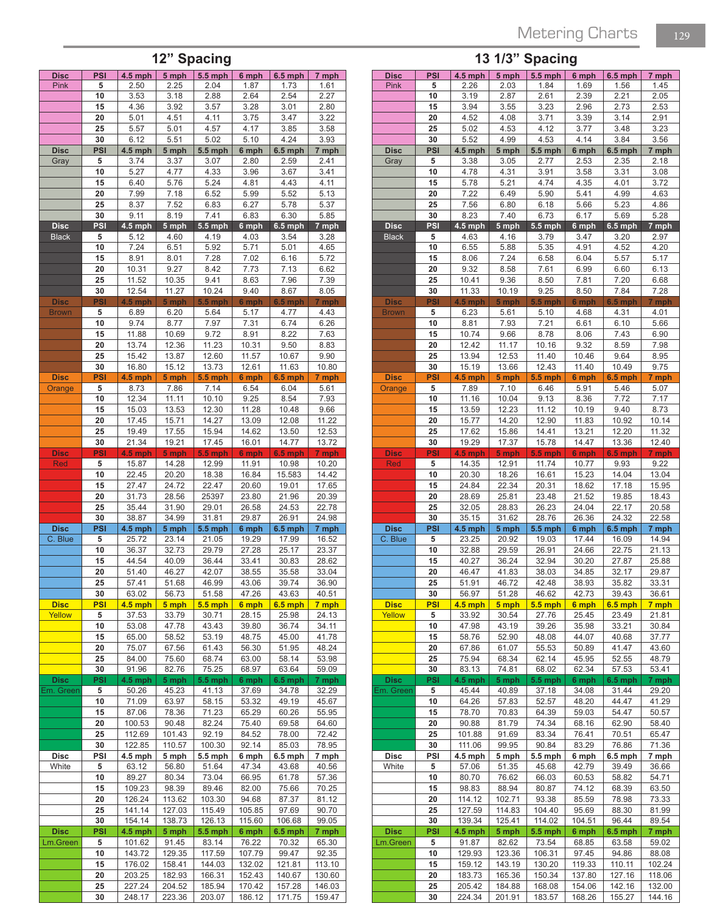**12" Spacing 13 1/3" Spacing**

| <b>Disc</b>              | <b>PSI</b>       | $4.5$ mph          | $5$ mph          | $5.5$ mph                | $6$ mph         | $6.5$ mph          | 7 mph          |
|--------------------------|------------------|--------------------|------------------|--------------------------|-----------------|--------------------|----------------|
| Pink                     | 5<br>10          | 2.50<br>3.53       | 2.25<br>3.18     | 2.04<br>2.88             | 1.87<br>2.64    | 1.73<br>2.54       | 1.61<br>2.27   |
|                          | 15               | 4.36               | 3.92             | 3.57                     | 3.28            | 3.01               | 2.80           |
|                          | 20               | 5.01               | 4.51             | 4.11                     | 3.75            | 3.47               | 3.22           |
|                          | 25               | 5.57               | 5.01             | 4.57                     | 4.17            | 3.85               | 3.58           |
|                          | 30               | 6.12               | 5.51             | 5.02                     | 5.10            | 4.24               | 3.93           |
| <b>Disc</b>              | <b>PSI</b>       | $4.5$ mph          | 5 mph            | <b>5.5 mph</b>           | 6 mph           | $6.5$ mph          | 7 mph          |
| Gray                     | 5                | 3.74               | 3.37             | 3.07                     | 2.80            | 2.59               | 2.41           |
|                          | 10<br>15         | 5.27<br>6.40       | 4.77<br>5.76     | 4.33<br>5.24             | 3.96<br>4.81    | 3.67<br>4.43       | 3.41<br>4.11   |
|                          | 20               | 7.99               | 7.18             | 6.52                     | 5.99            | 5.52               | 5.13           |
|                          | 25               | 8.37               | 7.52             | 6.83                     | 6.27            | 5.78               | 5.37           |
|                          | 30               | 9.11               | 8.19             | 7.41                     | 6.83            | 6.30               | 5.85           |
| <b>Disc</b>              | PSI              | $4.5$ mph          | 5 mph            | 5.5 mph                  | $6$ mph         | $6.5$ mph          | 7 mph          |
| <b>Black</b>             | 5                | 5.12               | 4.60             | 4.19                     | 4.03            | 3.54               | 3.28           |
|                          | 10<br>15         | 7.24<br>8.91       | 6.51<br>8.01     | 5.92<br>7.28             | 5.71<br>7.02    | 5.01<br>6.16       | 4.65<br>5.72   |
|                          | 20               | 10.31              | 9.27             | 8.42                     | 7.73            | 7.13               | 6.62           |
|                          | 25               | 11.52              | 10.35            | 9.41                     | 8.63            | 7.96               | 7.39           |
|                          | 30               | 12.54              | 11.27            | 10.24                    | 9.40            | 8.67               | 8.05           |
| <b>Disc</b>              | PSI              | <b>4.5 mph</b>     | 5 mph            | <b>5.5 mph</b>           | 6 mph           | $6.5$ mph          | 7 mph          |
| <b>Brown</b>             | 5                | 6.89               | 6.20             | 5.64                     | 5.17            | 4.77               | 4.43           |
|                          | 10<br>15         | 9.74<br>11.88      | 8.77<br>10.69    | 7.97<br>9.72             | 7.31<br>8.91    | 6.74<br>8.22       | 6.26<br>7.63   |
|                          | 20               | 13.74              | 12.36            | 11.23                    | 10.31           | 9.50               | 8.83           |
|                          | 25               | 15.42              | 13.87            | 12.60                    | 11.57           | 10.67              | 9.90           |
|                          | 30               | 16.80              | 15.12            | 13.73                    | 12.61           | 11.63              | 10.80          |
| <b>Disc</b>              | <b>PSI</b>       | $4.5$ mph          | 5 mph            | <b>5.5 mph</b>           | 6 mph           | $6.5$ mph          | 7 mph          |
| Orange                   | 5                | 8.73               | 7.86             | 7.14                     | 6.54            | 6.04               | 5.61           |
|                          | 10<br>15         | 12.34<br>15.03     | 11.11<br>13.53   | 10.10<br>12.30           | 9.25<br>11.28   | 8.54<br>10.48      | 7.93<br>9.66   |
|                          | 20               | 17.45              | 15.71            | 14.27                    | 13.09           | 12.08              | 11.22          |
|                          | 25               | 19.49              | 17.55            | 15.94                    | 14.62           | 13.50              | 12.53          |
|                          | 30               | 21.34              | 19.21            | 17.45                    | 16.01           | 14.77              | 13.72          |
| <b>Disc</b>              | <b>PSI</b>       | $4.5$ mph          | 5 mph            | <b>5.5 mph</b>           | 6 mph           | $6.5$ mph          | 7 mph          |
| <b>Red</b>               | 5                | 15.87              | 14.28            | 12.99                    | 11.91           | 10.98              | 10.20          |
|                          | 10<br>15         | 22.45<br>27.47     | 20.20<br>24.72   | 18.38<br>22.47           | 16.84<br>20.60  | 15.583<br>19.01    | 14.42<br>17.65 |
|                          | 20               | 31.73              | 28.56            | 25397                    | 23.80           | 21.96              | 20.39          |
|                          | 25               | 35.44              | 31.90            | 29.01                    | 26.58           | 24.53              | 22.78          |
|                          | 30               | 38.87              | 34.99            | 31.81                    | 29.87           | 26.91              | 24.98          |
| <b>Disc</b>              | PSI              | $4.5$ mph          | 5 mph            | $5.5$ mph                | 6 mph           | $6.5$ mph          | 7 mph          |
| C. Blue                  | 5<br>10          | 25.72<br>36.37     | 23.14<br>32.73   | 21.05<br>29.79           | 19.29<br>27.28  | 17.99<br>25.17     | 16.52<br>23.37 |
|                          | 15               | 44.54              | 40.09            | 36.44                    | 33.41           | 30.83              | 28.62          |
|                          | 20               | 51.40              | 46.27            | 42.07                    | 38.55           | 35.58              | 33.04          |
|                          | 25               | 57.41              | 51.68            | 46.99                    | 43.06           | 39.74              | 36.90          |
|                          | 30               | 63.02              | 56.73            | 51.58                    | 47.26           | 43.63              | 40.51          |
| <b>Disc</b><br>Yellow    | PSI              | $4.5$ mph          | 5 mph            | 5.5 mph<br>30.71         | 6 mph           | $6.5$ mph          | 7 mph          |
|                          | 5<br>10          | 37.53<br>53.08     | 33.79<br>47.78   | 43.43                    | 28.15<br>39.80  | 25.98<br>36.74     | 24.13<br>34.11 |
|                          | 15               | 65.00              | 58.52            | 53.19                    | 48.75           | 45.00              | 41.78          |
|                          | 20               | 75.07              | 67.56            | 61.43                    | 56.30           | 51.95              | 48.24          |
|                          | 25               | 84.00              | 75.60            | 68.74                    | 63.00           | 58.14              | 53.98          |
|                          | 30               | 91.96              | 82.76            | 75.25                    | 68.97           | 63.64              | 59.09          |
| <b>Disc</b><br>Em. Green | PSI<br>5         | $4.5$ mph<br>50.26 | 5 mph<br>45.23   | <b>5.5 mph</b><br>41.13  | 6 mph<br>37.69  | $6.5$ mph<br>34.78 | 7 mph<br>32.29 |
|                          | 10               | 71.09              | 63.97            | 58.15                    | 53.32           | 49.19              | 45.67          |
|                          | 15               | 87.06              | 78.36            | 71.23                    | 65.29           | 60.26              | 55.95          |
|                          | 20               | 100.53             | 90.48            | 82.24                    | 75.40           | 69.58              | 64.60          |
|                          | 25               | 112.69             | 101.43           | 92.19                    | 84.52           | 78.00              | 72.42          |
| <b>Disc</b>              | 30<br>PSI        | 122.85<br>4.5 mph  | 110.57<br>5 mph  | 100.30<br>5.5 mph        | 92.14<br>6 mph  | 85.03<br>$6.5$ mph | 78.95<br>7 mph |
| White                    | 5                | 63.12              | 56.80            | 51.64                    | 47.34           | 43.68              | 40.56          |
|                          | 10               | 89.27              | 80.34            | 73.04                    | 66.95           | 61.78              | 57.36          |
|                          | 15               | 109.23             | 98.39            | 89.46                    | 82.00           | 75.66              | 70.25          |
|                          | 20               | 126.24             | 113.62           | 103.30                   | 94.68           | 87.37              | 81.12          |
|                          | 25               | 141.14             | 127.03           | 115.49                   | 105.85          | 97.69              | 90.70          |
| <b>Disc</b>              | 30<br><b>PSI</b> | 154.14<br>4.5 mph  | 138.73<br>5 mph  | 126.13<br><b>5.5 mph</b> | 115.60<br>6 mph | 106.68<br>6.5 mph  | 99.05<br>7 mph |
| Lm.Green                 | 5                | 101.62             | 91.45            | 83.14                    | 76.22           | 70.32              | 65.30          |
|                          | 10               | 143.72             | 129.35           | 117.59                   | 107.79          | 99.47              | 92.35          |
|                          | 15               | 176.02             | 158.41           | 144.03                   | 132.02          | 121.81             | 113.10         |
|                          | 20               | 203.25             | 182.93           | 166.31                   | 152.43          | 140.67             | 130.60         |
|                          | 25<br>30         | 227.24             | 204.52<br>223.36 | 185.94                   | 170.42          | 157.28<br>171.75   | 146.03         |
|                          |                  | 248.17             |                  | 203.07                   | 186.12          |                    | 159.47         |

| <b>Disc</b>             | <b>PSI</b> | $4.5$ mph          | 5 mph                      | $5.5$ mph        | $6$ mph        | $6.5$ mph          | 7 mph          |
|-------------------------|------------|--------------------|----------------------------|------------------|----------------|--------------------|----------------|
| Pink                    | 5<br>10    | 2.26               | 2.03<br>2.87               | 1.84<br>2.61     | 1.69           | 1.56<br>2.21       | 1.45           |
|                         | 15         | 3.19<br>3.94       | 3.55                       | 3.23             | 2.39<br>2.96   | 2.73               | 2.05<br>2.53   |
|                         | 20         | 4.52               | 4.08                       | 3.71             | 3.39           | 3.14               | 2.91           |
|                         | 25         | 5.02               | 4.53                       | 4.12             | 3.77           | 3.48               | 3.23           |
|                         | 30         | 5.52               | 4.99                       | 4.53             | 4.14           | 3.84               | 3.56           |
| <b>Disc</b>             | <b>PSI</b> | 4.5 mph            | 5 mph                      | 5.5 mph          | 6 mph          | $6.5$ mph          | 7 mph          |
| Gray                    | 5          | 3.38               | 3.05                       | 2.77             | 2.53           | 2.35               | 2.18           |
|                         | 10<br>15   | 4.78<br>5.78       | 4.31<br>5.21               | 3.91<br>4.74     | 3.58<br>4.35   | 3.31<br>4.01       | 3.08<br>3.72   |
|                         | 20         | 7.22               | 6.49                       | 5.90             | 5.41           | 4.99               | 4.63           |
|                         | 25         | 7.56               | 6.80                       | 6.18             | 5.66           | 5.23               | 4.86           |
|                         | 30         | 8.23               | 7.40                       | 6.73             | 6.17           | 5.69               | 5.28           |
| <b>Disc</b>             | PSI        | $4.5$ mph          | $5 \overline{\text{ mph}}$ | 5.5 mph          | $6$ mph        | $6.5$ mph          | 7 mph          |
| <b>Black</b>            | 5          | 4.63               | 4.16                       | 3.79             | 3.47           | 3.20               | 2.97           |
|                         | 10<br>15   | 6.55<br>8.06       | 5.88<br>7.24               | 5.35<br>6.58     | 4.91<br>6.04   | 4.52<br>5.57       | 4.20<br>5.17   |
|                         | 20         | 9.32               | 8.58                       | 7.61             | 6.99           | 6.60               | 6.13           |
|                         | 25         | 10.41              | 9.36                       | 8.50             | 7.81           | 7.20               | 6.68           |
|                         | 30         | 11.33              | 10.19                      | 9.25             | 8.50           | 7.84               | 7.28           |
| <b>Disc</b>             | PSI        | $4.5$ mph          | 5 mph                      | <b>5.5 mph</b>   | 6 mph          | $6.5$ mph          | 7 mph          |
| <b>Brown</b>            | 5          | 6.23               | 5.61                       | 5.10             | 4.68           | 4.31               | 4.01           |
|                         | 10<br>15   | 8.81               | 7.93                       | 7.21             | 6.61           | 6.10               | 5.66           |
|                         | 20         | 10.74<br>12.42     | 9.66<br>11.17              | 8.78<br>10.16    | 8.06<br>9.32   | 7.43<br>8.59       | 6.90<br>7.98   |
|                         | 25         | 13.94              | 12.53                      | 11.40            | 10.46          | 9.64               | 8.95           |
|                         | 30         | 15.19              | 13.66                      | 12.43            | 11.40          | 10.49              | 9.75           |
| <b>Disc</b>             | <b>PSI</b> | $4.5$ mph          | 5 mph                      | <b>5.5 mph</b>   | 6 mph          | $6.5$ mph          | 7 mph          |
| Orange                  | 5          | 7.89               | 7.10                       | 6.46             | 5.91           | 5.46               | 5.07           |
|                         | 10         | 11.16              | 10.04                      | 9.13             | 8.36           | 7.72               | 7.17           |
|                         | 15<br>20   | 13.59<br>15.77     | 12.23<br>14.20             | 11.12<br>12.90   | 10.19<br>11.83 | 9.40<br>10.92      | 8.73<br>10.14  |
|                         | 25         | 17.62              | 15.86                      | 14.41            | 13.21          | 12.20              | 11.32          |
|                         | 30         | 19.29              | 17.37                      | 15.78            | 14.47          | 13.36              | 12.40          |
| <b>Disc</b>             | <b>PSI</b> | $4.5$ mph          | 5 mph                      | $5.5$ mph        | 6 mph          | $6.5$ mph          | 7 mph          |
| Red                     | 5          | 14.35              | 12.91                      | 11.74            | 10.77          | 9.93               | 9.22           |
|                         | 10<br>15   | 20.30              | 18.26                      | 16.61            | 15.23          | 14.04              | 13.04          |
|                         | 20         | 24.84<br>28.69     | 22.34<br>25.81             | 20.31<br>23.48   | 18.62<br>21.52 | 17.18<br>19.85     | 15.95<br>18.43 |
|                         | 25         | 32.05              | 28.83                      | 26.23            | 24.04          | 22.17              | 20.58          |
|                         | 30         | 35.15              | 31.62                      | 28.76            | 26.36          | 24.32              | 22.58          |
| <b>Disc</b>             | PSI        | $4.5$ mph          | 5 mph                      | <b>5.5 mph</b>   | 6 mph          | $6.5$ mph          | 7 mph          |
| C. Blue                 | 5          | 23.25              | 20.92                      | 19.03            | 17.44          | 16.09              | 14.94          |
|                         | 10<br>15   | 32.88<br>40.27     | 29.59<br>36.24             | 26.91<br>32.94   | 24.66<br>30.20 | 22.75<br>27.87     | 21.13<br>25.88 |
|                         | 20         | 46.47              | 41.83                      | 38.03            | 34.85          | 32.17              | 29.87          |
|                         | 25         | 51.91              | 46.72                      | 42.48            | 38.93          | 35.82              | 33.31          |
|                         | 30         | 56.97              | 51.28                      | 46.62            | 42.73          | 39.43              | 36.61          |
| <b>Disc</b>             | <b>PSI</b> | $4.5$ mph          | 5 mph                      | <b>5.5 mph</b>   | 6 mph          | $6.5$ mph          | 7 mph          |
| Yellow                  | 5          | 33.92              | 30.54                      | 27.76            | 25.45          | 23.49              | 21.81          |
|                         | 10<br>15   | 47.98<br>58.76     | 43.19<br>52.90             | 39.26<br>48.08   | 35.98<br>44.07 | 33.21<br>40.68     | 30.84<br>37.77 |
|                         | 20         | 67.86              | 61.07                      | 55.53            | 50.89          | 41.47              | 43.60          |
|                         | 25         | 75.94              | 68.34                      | 62.14            | 45.95          | 52.55              | 48.79          |
|                         | 30         | 83.13              | 74.81                      | 68.02            | 62.34          | 57.53              | 53.41          |
| <b>Disc</b>             | PSI        | 4.5 mph            | 5 mph                      | 5.5 mph          | 6 mph          | 6.5 mph            | 7 mph          |
| Em. Green               | 5<br>10    | 45.44<br>64.26     | 40.89<br>57.83             | 37.18<br>52.57   | 34.08<br>48.20 | 31.44<br>44.47     | 29.20<br>41.29 |
|                         | 15         | 78.70              | 70.83                      | 64.39            | 59.03          | 54.47              | 50.57          |
|                         | 20         | 90.88              | 81.79                      | 74.34            | 68.16          | 62.90              | 58.40          |
|                         | 25         | 101.88             | 91.69                      | 83.34            | 76.41          | 70.51              | 65.47          |
|                         | 30         | 111.06             | 99.95                      | 90.84            | 83.29          | 76.86              | 71.36          |
| <b>Disc</b><br>White    | PSI<br>5   | $4.5$ mph<br>57.06 | 5 mph<br>51.35             | 5.5 mph<br>45.68 | 6 mph<br>42.79 | $6.5$ mph<br>39.49 | 7 mph<br>36.66 |
|                         | 10         | 80.70              | 76.62                      | 66.03            | 60.53          | 58.82              | 54.71          |
|                         | 15         | 98.83              | 88.94                      | 80.87            | 74.12          | 68.39              | 63.50          |
|                         | 20         | 114.12             | 102.71                     | 93.38            | 85.59          | 78.98              | 73.33          |
|                         | 25         | 127.59             | 114.83                     | 104.40           | 95.69          | 88.30              | 81.99          |
|                         | 30         | 139.34             | 125.41                     | 114.02           | 104.51         | 96.44              | 89.54          |
| <b>Disc</b><br>Lm.Green | PSI<br>5   | 4.5 mph<br>91.87   | 5 mph<br>82.62             | 5.5 mph<br>73.54 | 6 mph<br>68.85 | 6.5 mph<br>63.58   | 7 mph<br>59.02 |
|                         | 10         | 129.93             | 123.36                     | 106.31           | 97.45          | 94.86              | 88.08          |
|                         | 15         | 159.12             | 143.19                     | 130.20           | 119.33         | 110.11             | 102.24         |
|                         | 20         | 183.73             | 165.36                     | 150.34           | 137.80         | 127.16             | 118.06         |
|                         | 25         | 205.42             | 184.88                     | 168.08           | 154.06         | 142.16             | 132.00         |
|                         | 30         | 224.34             | 201.91                     | 183.57           | 168.26         | 155.27             | 144.16         |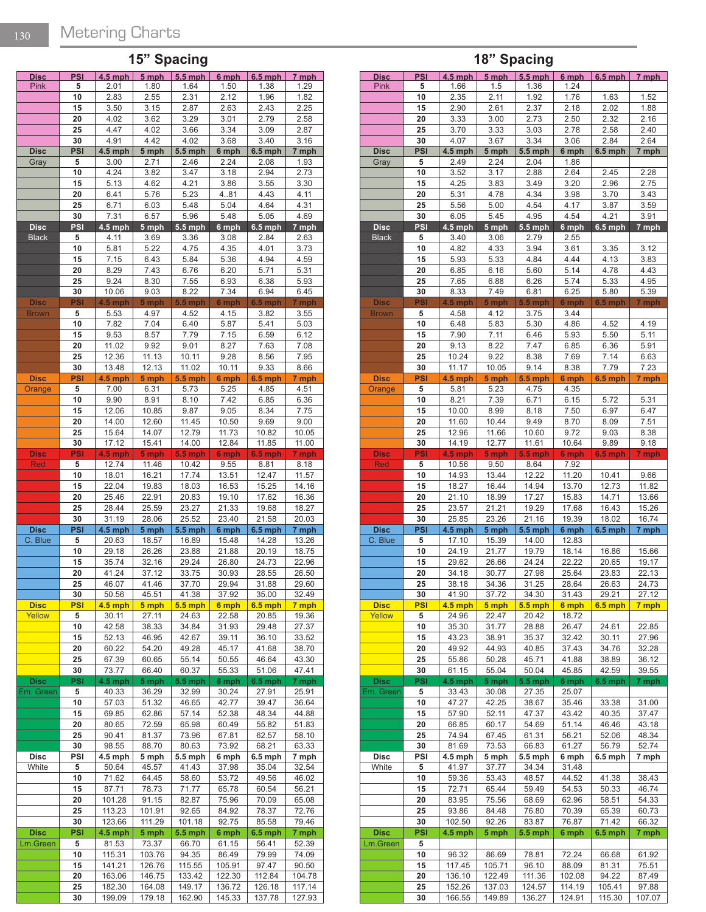|                                |            |                    |                  | 15" Spacing             |                  |                    |                  |
|--------------------------------|------------|--------------------|------------------|-------------------------|------------------|--------------------|------------------|
| <b>Disc</b>                    | <b>PSI</b> | $4.5$ mph          | 5 mph            | $5.5$ mph               | 6 mph            | $6.5$ mph          | 7 mph            |
| Pink                           | 5          | 2.01               | 1.80             | 1.64                    | 1.50             | 1.38               | 1.29             |
|                                | 10<br>15   | 2.83<br>3.50       | 2.55<br>3.15     | 2.31<br>2.87            | 2.12<br>2.63     | 1.96<br>2.43       | 1.82<br>2.25     |
|                                | 20         | 4.02               | 3.62             | 3.29                    | 3.01             | 2.79               | 2.58             |
|                                | 25         | 4.47               | 4.02             | 3.66                    | 3.34             | 3.09               | 2.87             |
|                                | 30         | 4.91               | 4.42             | 4.02                    | 3.68             | 3.40               | 3.16             |
| <b>Disc</b>                    | PSI        | 4.5 mph            | 5 mph            | 5.5 mph                 | 6 mph            | 6.5 mph            | 7 mph            |
| Gray                           | 5          | 3.00               | 2.71             | 2.46                    | 2.24             | 2.08               | 1.93             |
|                                | 10         | 4.24               | 3.82             | 3.47                    | 3.18             | 2.94               | 2.73             |
|                                | 15         | 5.13               | 4.62             | 4.21                    | 3.86             | 3.55               | 3.30             |
|                                | 20         | 6.41               | 5.76             | 5.23                    | 4.81             | 4.43               | 4.11             |
|                                | 25         | 6.71               | 6.03             | 5.48                    | 5.04             | 4.64               | 4.31             |
|                                | 30         | 7.31               | 6.57             | 5.96                    | 5.48             | 5.05               | 4.69             |
| <b>Disc</b>                    | PSI        | $4.5$ mph          | 5 mph            | $5.5$ mph               | 6 mph            | $6.5$ mph          | 7 mph            |
| <b>Black</b>                   | 5          | 4.11               | 3.69             | 3.36                    | 3.08             | 2.84               | 2.63             |
|                                | 10         | 5.81               | 5.22             | 4.75                    | 4.35             | 4.01               | 3.73             |
|                                | 15         | 7.15               | 6.43             | 5.84                    | 5.36             | 4.94               | 4.59             |
|                                | 20         | 8.29               | 7.43             | 6.76                    | 6.20             | 5.71               | 5.31             |
|                                | 25         | 9.24               | 8.30             | 7.55                    | 6.93             | 6.38               | 5.93             |
|                                | 30         | 10.06              | 9.03             | 8.22                    | 7.34             | 6.94               | 6.45             |
| <b>Disc</b>                    | <b>PSI</b> | <b>4.5 mph</b>     | 5 mph            | <b>5.5 mph</b>          | 6 mph            | <b>6.5 mph</b>     | 7 mph            |
| <b>Brown</b>                   | 5<br>10    | 5.53<br>7.82       | 4.97<br>7.04     | 4.52<br>6.40            | 4.15<br>5.87     | 3.82<br>5.41       | 3.55<br>5.03     |
|                                | 15         | 9.53               | 8.57             | 7.79                    | 7.15             | 6.59               | 6.12             |
|                                | 20         | 11.02              | 9.92             | 9.01                    | 8.27             | 7.63               | 7.08             |
|                                | 25         | 12.36              | 11.13            | 10.11                   | 9.28             | 8.56               | 7.95             |
|                                | 30         | 13.48              | 12.13            | 11.02                   | 10.11            | 9.33               | 8.66             |
| <b>Disc</b>                    | <b>PSI</b> | $4.5$ mph          | 5 mph            | <b>5.5 mph</b>          | 6 mph            | <b>6.5 mph</b>     | 7 mph            |
| Orange                         | 5          | 7.00               | 6.31             | 5.73                    | 5.25             | 4.85               | 4.51             |
|                                | 10         | 9.90               | 8.91             | 8.10                    | 7.42             | 6.85               | 6.36             |
|                                | 15         | 12.06              | 10.85            | 9.87                    | 9.05             | 8.34               | 7.75             |
|                                | 20         | 14.00              | 12.60            | 11.45                   | 10.50            | 9.69               | 9.00             |
|                                | 25         | 15.64              | 14.07            | 12.79                   | 11.73            | 10.82              | 10.05            |
|                                | 30         | 17.12              | 15.41            | 14.00                   | 12.84            | 11.85              | 11.00            |
| <b>Disc</b>                    | <b>PSI</b> | $4.5$ mph          | 5 mph            | $5.5$ mph               | 6 mph            | $6.5$ mph          | 7 mph            |
| Red                            | 5          | 12.74              | 11.46            | 10.42                   | 9.55             | 8.81               | 8.18             |
|                                | 10         | 18.01              | 16.21            | 17.74                   | 13.51            | 12.47              | 11.57            |
|                                | 15         | 22.04              | 19.83            | 18.03                   | 16.53            | 15.25              | 14.16            |
|                                | 20         | 25.46              | 22.91            | 20.83                   | 19.10            | 17.62              | 16.36            |
|                                | 25         | 28.44              | 25.59            | 23.27                   | 21.33            | 19.68              | 18.27            |
| <b>Disc</b>                    | 30<br>PSI  | 31.19<br>4.5 mph   | 28.06<br>5 mph   | 25.52<br><b>5.5 mph</b> | 23.40<br>6 mph   | 21.58<br>$6.5$ mph | 20.03<br>7 mph   |
| C. Blue                        | 5          | 20.63              | 18.57            | 16.89                   | 15.48            | 14.28              | 13.26            |
|                                | 10         | 29.18              | 26.26            | 23.88                   | 21.88            | 20.19              | 18.75            |
|                                | 15         | 35.74              | 32.16            | 29.24                   | 26.80            | 24.73              | 22.96            |
|                                | 20         | 41.24              | 37.12            | 33.75                   | 30.93            | 28.55              | 26.50            |
|                                | 25         | 46.07              | 41.46            | 37.70                   | 29.94            | 31.88              | 29.60            |
|                                | 30         | 50.56              | 45.51            | 41.38                   | 37.92            | 35.00              | 32.49            |
| <b>Disc</b>                    | <b>PSI</b> | <b>4.5 mph</b>     | 5 mph            | <b>5.5 mph</b>          | 6 mph            | $6.5$ mph          | 7 mph            |
| Yellow                         | 5          | 30.11              | 27.11            | 24.63                   | 22.58            | 20.85              | 19.36            |
|                                | 10         | 42.58              | 38.33            | 34.84                   | 31.93            | 29.48              | 27.37            |
|                                | 15         | 52.13              | 46.95            | 42.67                   | 39.11            | 36.10              | 33.52            |
|                                | 20         | 60.22              | 54.20            | 49.28                   | 45.17            | 41.68              | 38.70            |
|                                | 25         | 67.39              | 60.65            |                         |                  |                    |                  |
|                                |            |                    |                  | 55.14                   | 50.55            | 46.64              | 43.30            |
|                                | 30         | 73.77              | 66.40            | 60.37                   | 55.33            | 51.06              | 47.41            |
| <b>Disc</b>                    | PSI        | $4.5$ mph          | 5 mph            | <b>5.5 mph</b>          | 6 mph            | $6.5$ mph          | 7 mph            |
|                                | 5          | 40.33              | 36.29            | 32.99                   | 30.24            | 27.91              | 25.91            |
|                                | 10         | 57.03              | 51.32            | 46.65                   | 42.77            | 39.47              | 36.64            |
|                                | 15         | 69.85              | 62.86            | 57.14                   | 52.38            | 48.34              | 44.88            |
|                                | 20         | 80.65              | 72.59            | 65.98                   | 60.49            | 55.82              | 51.83            |
|                                | 25         | 90.41              | 81.37            | 73.96                   | 67.81            | 62.57              | 58.10            |
|                                | 30         | 98.55              | 88.70            | 80.63                   | 73.92            | 68.21              | 63.33            |
|                                | PSI<br>5   | $4.5$ mph<br>50.64 | 5 mph<br>45.57   | 5.5 mph<br>41.43        | 6 mph<br>37.98   | 6.5 mph<br>35.04   | 7 mph<br>32.54   |
|                                | 10         | 71.62              | 64.45            | 58.60                   | 53.72            | 49.56              | 46.02            |
|                                | 15         | 87.71              | 78.73            | 71.77                   | 65.78            | 60.54              | 56.21            |
| <b>Disc</b>                    | 20         | 101.28             | 91.15            | 82.87                   | 75.96            | 70.09              | 65.08            |
|                                | 25         | 113.23             | 101.91           | 92.65                   | 84.92            | 78.37              | 72.76            |
|                                | 30         | 123.66             | 111.29           | 101.18                  | 92.75            | 85.58              | 79.46            |
| <b>Disc</b>                    | PSI        | $4.5$ mph          | 5 mph            | 5.5 mph                 | 6 mph            | 6.5 mph            | 7 mph            |
|                                | 5          | 81.53              | 73.37            | 66.70                   | 61.15            | 56.41              | 52.39            |
|                                | 10         | 115.31             | 103.76           | 94.35                   | 86.49            | 79.99              | 74.09            |
|                                | 15         | 141.21             | 126.76           | 115.55                  | 105.91           | 97.47              | 90.50            |
| Em. Green<br>White<br>Lm.Green | 20         | 163.06             | 146.75           | 133.42                  | 122.30           | 112.84             | 104.78           |
|                                | 25<br>30   | 182.30<br>199.09   | 164.08<br>179.18 | 149.17<br>162.90        | 136.72<br>145.33 | 126.18<br>137.78   | 117.14<br>127.93 |

| <b>Disc</b>  | <b>PSI</b> | $4.5$ mph      | 5 mph   | 5.5 mph        | 6 mph  | $6.5$ mph      | 7 mph  |
|--------------|------------|----------------|---------|----------------|--------|----------------|--------|
| Pink         | 5          | 1.66           | 1.5     | 1.36           | 1.24   |                |        |
|              | 10         | 2.35           | 2.11    | 1.92           | 1.76   | 1.63           | 1.52   |
|              | 15         | 2.90           | 2.61    | 2.37           | 2.18   | 2.02           | 1.88   |
|              | 20         | 3.33           | 3.00    | 2.73           | 2.50   | 2.32           | 2.16   |
|              | 25         | 3.70           | 3.33    | 3.03           | 2.78   | 2.58           | 2.40   |
|              | 30         | 4.07           | 3.67    | 3.34           | 3.06   | 2.84           | 2.64   |
| <b>Disc</b>  | <b>PSI</b> | 4.5 mph        | 5 mph   | 5.5 mph        | 6 mph  | $6.5$ mph      | 7 mph  |
| Gray         | 5          | 2.49           | 2.24    | 2.04           | 1.86   |                |        |
|              | 10         | 3.52           | 3.17    | 2.88           | 2.64   | 2.45           | 2.28   |
|              |            |                |         | 3.49           |        |                |        |
|              | 15         | 4.25           | 3.83    |                | 3.20   | 2.96           | 2.75   |
|              | 20         | 5.31           | 4.78    | 4.34           | 3.98   | 3.70           | 3.43   |
|              | 25         | 5.56           | 5.00    | 4.54           | 4.17   | 3.87           | 3.59   |
|              | 30         | 6.05           | 5.45    | 4.95           | 4.54   | 4.21           | 3.91   |
| <b>Disc</b>  | PSI        | $4.5$ mph      | $5$ mph | 5.5 mph        | 6 mph  | 6.5 mph        | 7 mph  |
| <b>Black</b> | 5          | 3.40           | 3.06    | 2.79           | 2.55   |                |        |
|              | 10         | 4.82           | 4.33    | 3.94           | 3.61   | 3.35           | 3.12   |
|              | 15         | 5.93           | 5.33    | 4.84           | 4.44   | 4.13           | 3.83   |
|              | 20         | 6.85           | 6.16    | 5.60           | 5.14   | 4.78           | 4.43   |
|              |            |                |         |                |        |                |        |
|              | 25         | 7.65           | 6.88    | 6.26           | 5.74   | 5.33           | 4.95   |
|              | 30         | 8.33           | 7.49    | 6.81           | 6.25   | 5.80           | 5.39   |
| <b>Disc</b>  | PSI        | 4.5 mph        | 5 mph   | <b>5.5 mph</b> | 6 mph  | <b>6.5 mph</b> | 7 mph  |
| <b>Brown</b> | 5          | 4.58           | 4.12    | 3.75           | 3.44   |                |        |
|              | 10         | 6.48           | 5.83    | 5.30           | 4.86   | 4.52           | 4.19   |
|              | 15         | 7.90           | 7.11    | 6.46           | 5.93   | 5.50           | 5.11   |
|              | 20         | 9.13           | 8.22    | 7.47           | 6.85   | 6.36           | 5.91   |
|              | 25         | 10.24          | 9.22    | 8.38           | 7.69   | 7.14           | 6.63   |
|              |            |                |         |                |        |                |        |
|              | 30         | 11.17          | 10.05   | 9.14           | 8.38   | 7.79           | 7.23   |
| <b>Disc</b>  | PSI        | <b>4.5 mph</b> | 5 mph   | <b>5.5 mph</b> | 6 mph  | $6.5$ mph      | 7 mph  |
| Orange       | 5          | 5.81           | 5.23    | 4.75           | 4.35   |                |        |
|              | 10         | 8.21           | 7.39    | 6.71           | 6.15   | 5.72           | 5.31   |
|              | 15         | 10.00          | 8.99    | 8.18           | 7.50   | 6.97           | 6.47   |
|              | 20         | 11.60          | 10.44   | 9.49           | 8.70   | 8.09           | 7.51   |
|              | 25         | 12.96          | 11.66   | 10.60          | 9.72   | 9.03           | 8.38   |
|              | 30         | 14.19          | 12.77   | 11.61          | 10.64  | 9.89           | 9.18   |
| <b>Disc</b>  | PSI        | <b>4.5 mph</b> | 5 mph   | $5.5$ mph      | 6 mph  | $6.5$ mph      | 7 mph  |
| <b>Red</b>   | 5          |                | 9.50    | 8.64           | 7.92   |                |        |
|              |            | 10.56          |         |                |        |                |        |
|              | 10         | 14.93          | 13.44   | 12.22          | 11.20  | 10.41          | 9.66   |
|              | 15         | 18.27          | 16.44   | 14.94          | 13.70  | 12.73          | 11.82  |
|              | 20         | 21.10          | 18.99   | 17.27          | 15.83  | 14.71          | 13.66  |
|              | 25         | 23.57          | 21.21   | 19.29          | 17.68  | 16.43          | 15.26  |
|              | 30         | 25.85          | 23.26   | 21.16          | 19.39  | 18.02          | 16.74  |
| <b>Disc</b>  | PSI        | 4.5 mph        | 5 mph   | <b>5.5 mph</b> | 6 mph  | $6.5$ mph      | 7 mph  |
| C. Blue      | 5          | 17.10          | 15.39   | 14.00          | 12.83  |                |        |
|              | 10         | 24.19          | 21.77   | 19.79          | 18.14  | 16.86          | 15.66  |
|              | 15         | 29.62          | 26.66   | 24.24          | 22.22  | 20.65          | 19.17  |
|              |            |                |         |                |        |                |        |
|              | 20         | 34.18          | 30.77   | 27.98          | 25.64  | 23.83          | 22.13  |
|              | 25         | 38.18          | 34.36   | 31.25          | 28.64  | 26.63          | 24.73  |
|              | 30         | 41.90          | 37.72   | 34.30          | 31.43  | 29.21          | 27.12  |
| <b>Disc</b>  | PSI        | $4.5$ mph      | 5 mph   | <b>5.5 mph</b> | 6 mph  | $6.5$ mph      | 7 mph  |
| Yellow       | 5          | 24.96          | 22.47   | 20.42          | 18.72  |                |        |
|              | 10         | 35.30          | 31.77   | 28.88          | 26.47  | 24.61          | 22.85  |
|              | 15         | 43.23          | 38.91   | 35.37          | 32.42  | 30.11          | 27.96  |
|              | 20         | 49.92          | 44.93   | 40.85          | 37.43  | 34.76          | 32.28  |
|              | 25         | 55.86          | 50.28   | 45.71          | 41.88  | 38.89          | 36.12  |
|              | 30         | 61.15          | 55.04   | 50.04          | 45.85  | 42.59          | 39.55  |
| <b>Disc</b>  | PSI        | $4.5$ mph      | 5 mph   |                |        |                |        |
|              |            |                |         | 5.5 mph        | 6 mph  | 6.5 mph        | 7 mph  |
| Em. Green    | 5          | 33.43          | 30.08   | 27.35          | 25.07  |                |        |
|              | 10         | 47.27          | 42.25   | 38.67          | 35.46  | 33.38          | 31.00  |
|              | 15         | 57.90          | 52.11   | 47.37          | 43.42  | 40.35          | 37.47  |
|              | 20         | 66.85          | 60.17   | 54.69          | 51.14  | 46.46          | 43.18  |
|              | 25         | 74.94          | 67.45   | 61.31          | 56.21  | 52.06          | 48.34  |
|              | 30         | 81.69          | 73.53   | 66.83          | 61.27  | 56.79          | 52.74  |
| Disc         | PSI        | $4.5$ mph      | 5 mph   | 5.5 mph        | 6 mph  | 6.5 mph        | 7 mph  |
| White        | 5          | 41.97          | 37.77   | 34.34          | 31.48  |                |        |
|              | 10         | 59.36          | 53.43   | 48.57          | 44.52  | 41.38          | 38.43  |
|              | 15         | 72.71          | 65.44   | 59.49          | 54.53  | 50.33          | 46.74  |
|              |            |                |         |                |        |                |        |
|              | 20         | 83.95          | 75.56   | 68.69          | 62.96  | 58.51          | 54.33  |
|              | 25         | 93.86          | 84.48   | 76.80          | 70.39  | 65.39          | 60.73  |
|              | 30         | 102.50         | 92.26   | 83.87          | 76.87  | 71.42          | 66.32  |
| <b>Disc</b>  | PSI        | 4.5 mph        | 5 mph   | <b>5.5 mph</b> | 6 mph  | 6.5 mph        | 7 mph  |
| Lm.Green     | 5          |                |         |                |        |                |        |
|              | 10         | 96.32          | 86.69   | 78.81          | 72.24  | 66.68          | 61.92  |
|              | 15         | 117.45         | 105.71  | 96.10          | 88.09  | 81.31          | 75.51  |
|              | 20         | 136.10         | 122.49  | 111.36         | 102.08 | 94.22          | 87.49  |
|              | 25         | 152.26         | 137.03  | 124.57         | 114.19 | 105.41         | 97.88  |
|              |            |                |         |                |        |                |        |
|              | 30         | 166.55         | 149.89  | 136.27         | 124.91 | 115.30         | 107.07 |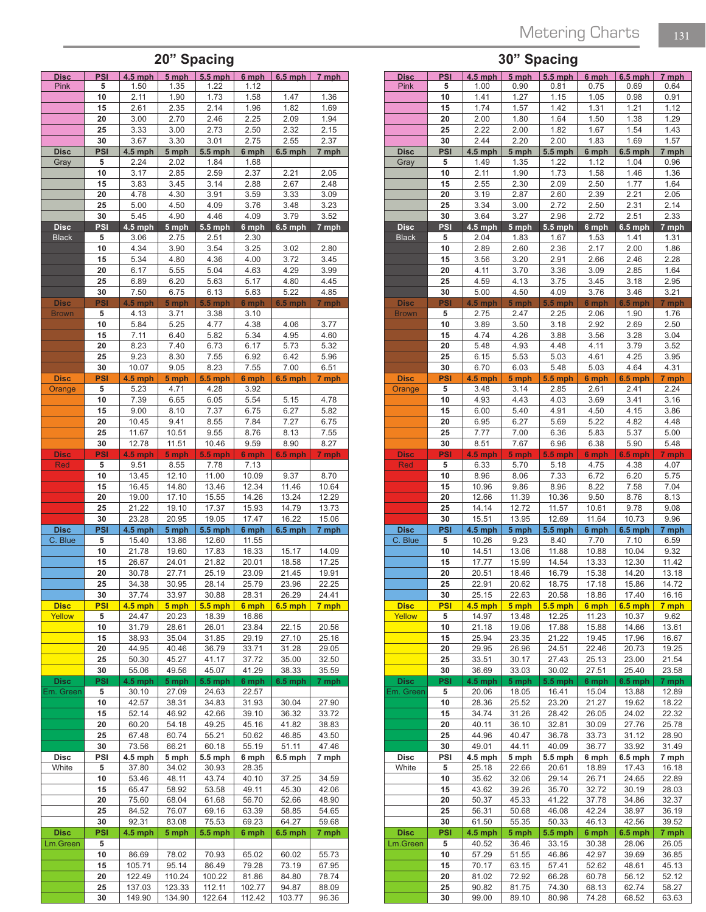|              |            |                |                   | ,,,,             |        |                 |                |
|--------------|------------|----------------|-------------------|------------------|--------|-----------------|----------------|
| <b>Disc</b>  | <b>PSI</b> | $4.5$ mph      | 5 mph             | $5.5$ mph        | 6 mph  | $6.5$ mph       | 7 mph          |
| Pink         | 5          | 1.50           | 1.35              | 1.22             | 1.12   |                 |                |
|              | 10         | 2.11           | 1.90              | 1.73             | 1.58   | 1.47            | 1.36           |
|              |            | 2.61           | 2.35              |                  |        | 1.82            | 1.69           |
|              | 15         |                |                   | 2.14             | 1.96   |                 |                |
|              | 20         | 3.00           | 2.70              | 2.46             | 2.25   | 2.09            | 1.94           |
|              | 25         | 3.33           | 3.00              | 2.73             | 2.50   | 2.32            | 2.15           |
|              | 30         | 3.67           | 3.30              | 3.01             | 2.75   | 2.55            | 2.37           |
| <b>Disc</b>  | <b>PSI</b> | 4.5 mph        | 5 mph             | $5.5$ mph        | 6 mph  | $6.5$ mph       | 7 mph          |
| Gray         | 5          | 2.24           | 2.02              | 1.84             | 1.68   |                 |                |
|              |            |                |                   |                  |        |                 |                |
|              | 10         | 3.17           | 2.85              | 2.59             | 2.37   | 2.21            | 2.05           |
|              | 15         | 3.83           | 3.45              | 3.14             | 2.88   | 2.67            | 2.48           |
|              | 20         | 4.78           | 4.30              | 3.91             | 3.59   | 3.33            | 3.09           |
|              | 25         | 5.00           | 4.50              | 4.09             | 3.76   | 3.48            | 3.23           |
|              | 30         | 5.45           | 4.90              | 4.46             | 4.09   | 3.79            | 3.52           |
|              |            |                |                   |                  |        |                 |                |
| <b>Disc</b>  | PSI        | $4.5$ mph      | 5 mph             | 5.5 mph          | 6 mph  | $6.5$ mph       | 7 mph          |
| <b>Black</b> | 5          | 3.06           | 2.75              | 2.51             | 2.30   |                 |                |
|              | 10         | 4.34           | 3.90              | 3.54             | 3.25   | 3.02            | 2.80           |
|              | 15         | 5.34           | 4.80              | 4.36             | 4.00   | 3.72            | 3.45           |
|              | 20         | 6.17           | 5.55              | 5.04             | 4.63   | 4.29            | 3.99           |
|              |            |                |                   | 5.63             |        |                 |                |
|              | 25         | 6.89           | 6.20              |                  | 5.17   | 4.80            | 4.45           |
|              | 30         | 7.50           | 6.75              | 6.13             | 5.63   | 5.22            | 4.85           |
| <b>Disc</b>  | PSI        | 4.5 mph        | 5 mph             | <b>5.5 mph</b>   | 6 mph  | <b>6.5 mph</b>  | 7 mph          |
| <b>Brown</b> | 5          | 4.13           | 3.71              | 3.38             | 3.10   |                 |                |
|              | 10         | 5.84           | $\overline{5.25}$ | 4.77             | 4.38   | 4.06            | 3.77           |
|              | 15         | 7.11           | 6.40              | 5.82             | 5.34   | 4.95            | 4.60           |
|              |            |                |                   |                  |        |                 |                |
|              | 20         | 8.23           | 7.40              | 6.73             | 6.17   | 5.73            | 5.32           |
|              | 25         | 9.23           | 8.30              | 7.55             | 6.92   | 6.42            | 5.96           |
|              | 30         | 10.07          | 9.05              | 8.23             | 7.55   | 7.00            | 6.51           |
| <b>Disc</b>  | <b>PSI</b> | <b>4.5 mph</b> | 5 mph             | <b>5.5 mph</b>   | 6 mph  | <b>6.5 mph</b>  | 7 mph          |
| Orange       | 5          | 5.23           | 4.71              | 4.28             | 3.92   |                 |                |
|              | 10         | 7.39           | 6.65              | 6.05             | 5.54   | 5.15            | 4.78           |
|              |            |                |                   |                  |        |                 |                |
|              | 15         | 9.00           | 8.10              | 7.37             | 6.75   | 6.27            | 5.82           |
|              | 20         | 10.45          | 9.41              | 8.55             | 7.84   | 7.27            | 6.75           |
|              | 25         | 11.67          | 10.51             | 9.55             | 8.76   | 8.13            | 7.55           |
|              | 30         | 12.78          | 11.51             | 10.46            | 9.59   | 8.90            | 8.27           |
| <b>Disc</b>  | PSI        | <b>4.5 mph</b> | 5 mph             | <b>5.5 mph</b>   | 6 mph  | $6.5$ mph       | 7 mph          |
| Red          | 5          | 9.51           | 8.55              | 7.78             | 7.13   |                 |                |
|              |            |                |                   |                  |        |                 |                |
|              | 10         | 13.45          | 12.10             | 11.00            | 10.09  | 9.37            | 8.70           |
|              | 15         | 16.45          | 14.80             | 13.46            | 12.34  | 11.46           | 10.64          |
|              | 20         | 19.00          | 17.10             | 15.55            | 14.26  | 13.24           | 12.29          |
|              | 25         | 21.22          | 19.10             | 17.37            | 15.93  | 14.79           | 13.73          |
|              | 30         | 23.28          | 20.95             | 19.05            | 17.47  | 16.22           | 15.06          |
| <b>Disc</b>  | PSI        |                |                   |                  |        |                 |                |
|              |            | $4.5$ mph      | 5 mph             | <b>5.5 mph</b>   | 6 mph  | $6.5$ mph       | 7 mph          |
| C. Blue      | 5          | 15.40          | 13.86             | 12.60            | 11.55  |                 |                |
|              | 10         | 21.78          | 19.60             | 17.83            | 16.33  | 15.17           | 14.09          |
|              | 15         | 26.67          | 24.01             | 21.82            | 20.01  | 18.58           | 17.25          |
|              | 20         | 30.78          | 27.71             | 25.19            | 23.09  | 21.45           | 19.91          |
|              | 25         | 34.38          | 30.95             | 28.14            | 25.79  | 23.96           | 22.25          |
|              |            | 37.74          | 33.97             | 30.88            | 28.31  | 26.29           | 24.41          |
|              | 30         |                |                   |                  |        |                 |                |
| <b>Disc</b>  | PSI        | <b>4.5 mph</b> | 5 mph             | $5.5$ mph        | 6 mph  | $6.5$ mph       | 7 mph          |
| Yellow       | 5          | 24.47          | 20.23             | 18.39            | 16.86  |                 |                |
|              | 10         | 31.79          | 28.61             | 26.01            | 23.84  | 22.15           | 20.56          |
|              | 15         | 38.93          | 35.04             | 31.85            | 29.19  | 27.10           | 25.16          |
|              | 20         | 44.95          | 40.46             | 36.79            | 33.71  | 31.28           | 29.05          |
|              | 25         | 50.30          | 45.27             | 41.17            | 37.72  | 35.00           | 32.50          |
|              |            |                |                   |                  |        |                 |                |
|              | 30         | 55.06          | 49.56             | 45.07            | 41.29  | 38.33           | 35.59          |
| <b>Disc</b>  | PSI        | $4.5$ mph      | 5 mph             | 5.5 mph          | 6 mph  | $6.5$ mph       | 7 mph          |
| Em. Green    | 5          | 30.10          | 27.09             | 24.63            | 22.57  |                 |                |
|              | 10         | 42.57          | 38.31             | 34.83            | 31.93  | 30.04           | 27.90          |
|              | 15         | 52.14          | 46.92             | 42.66            | 39.10  | 36.32           | 33.72          |
|              | 20         | 60.20          | 54.18             | 49.25            | 45.16  | 41.82           | 38.83          |
|              |            |                |                   |                  |        |                 |                |
|              | 25         | 67.48          | 60.74             | 55.21            | 50.62  | 46.85           | 43.50          |
|              | 30         | 73.56          | 66.21             | 60.18            | 55.19  | 51.11           | 47.46          |
| Disc         | PSI        | 4.5 mph        | 5 mph             | 5.5 mph          | 6 mph  | $6.5$ mph       | 7 mph          |
| White        |            | 37.80          | 34.02             | 30.93            | 28.35  |                 |                |
|              | 5          |                |                   |                  |        |                 |                |
|              |            |                |                   |                  |        |                 |                |
|              | 10         | 53.46          | 48.11             | 43.74            | 40.10  | 37.25           | 34.59          |
|              | 15         | 65.47          | 58.92             | 53.58            | 49.11  | 45.30           | 42.06          |
|              | 20         | 75.60          | 68.04             | 61.68            | 56.70  | 52.66           | 48.90          |
|              | 25         | 84.52          | 76.07             | 69.16            | 63.39  | 58.85           | 54.65          |
|              | 30         | 92.31          | 83.08             | 75.53            | 69.23  | 64.27           | 59.68          |
| <b>Disc</b>  | PSI        | 4.5 mph        | 5 mph             | 5.5 mph          | 6 mph  | $6.5$ mph       | 7 mph          |
| Lm.Green     | 5          |                |                   |                  |        |                 |                |
|              |            |                |                   |                  |        |                 |                |
|              | 10         | 86.69          | 78.02             | 70.93            | 65.02  | 60.02           | 55.73          |
|              | 15         | 105.71         | 95.14             | 86.49            | 79.28  | 73.19           | 67.95          |
|              | 20         | 122.49         | 110.24            | 100.22           | 81.86  | 84.80           | 78.74          |
|              | 25         | 137.03         | 123.33            | 112.11<br>122.64 | 102.77 | 94.87<br>103.77 | 88.09<br>96.36 |

## **20" Spacing 30" Spacing**

| <b>Disc</b>  | <b>PSI</b> | $4.5$ mph      | 5 mph           | 5.5 mph        | 6 mph          | $6.5$ mph      | 7 mph          |
|--------------|------------|----------------|-----------------|----------------|----------------|----------------|----------------|
| Pink         | 5          | 1.00           | 0.90            | 0.81           | 0.75           | 0.69           | 0.64           |
|              | 10         | 1.41           | 1.27            | 1.15           | 1.05           | 0.98           | 0.91           |
|              | 15         | 1.74           | 1.57            | 1.42           | 1.31           | 1.21           | 1.12           |
|              | 20         | 2.00           | 1.80            | 1.64           | 1.50           | 1.38           | 1.29           |
|              | 25         | 2.22           | 2.00            | 1.82           | 1.67           | 1.54           | 1.43           |
|              | 30         | 2.44           | 2.20            | 2.00           | 1.83           | 1.69           | 1.57           |
| <b>Disc</b>  | PSI        | $4.5$ mph      | 5 mph           | 5.5 mph        | 6 mph          | $6.5$ mph      | 7 mph          |
| Gray         | 5          | 1.49           | 1.35            | 1.22           | 1.12           | 1.04           | 0.96           |
|              | 10         | 2.11           | 1.90            | 1.73           | 1.58           | 1.46           | 1.36           |
|              | 15         | 2.55           | 2.30            | 2.09           | 2.50           | 1.77           | 1.64           |
|              | 20         | 3.19           | 2.87            | 2.60           | 2.39           | 2.21           | 2.05           |
|              | 25         | 3.34           | 3.00            | 2.72           | 2.50           | 2.31           | 2.14           |
|              | 30         | 3.64           | 3.27            | 2.96           | 2.72           | 2.51           | 2.33           |
| <b>Disc</b>  | <b>PSI</b> | $4.5$ mph      | 5 mph           | 5.5 mph        | 6 mph          | $6.5$ mph      | 7 mph          |
| <b>Black</b> | 5          | 2.04           | 1.83            | 1.67           | 1.53           | 1.41           | 1.31           |
|              | 10         | 2.89           | 2.60            | 2.36           | 2.17           | 2.00           | 1.86           |
|              | 15         | 3.56           | 3.20            | 2.91           | 2.66           | 2.46           | 2.28           |
|              | 20         | 4.11           | 3.70            | 3.36           | 3.09           | 2.85           | 1.64           |
|              | 25         | 4.59           | 4.13            | 3.75           | 3.45           | 3.18           | 2.95           |
|              | 30         | 5.00           | 4.50            | 4.09           | 3.76           | 3.46           | 3.21           |
| <b>Disc</b>  | PSI        | 4.5 mph        | 5 mph           | <b>5.5 mph</b> | 6 mph          | $6.5$ mph      | 7 mph          |
| <b>Brown</b> | 5          | 2.75           | 2.47            | 2.25           | 2.06           | 1.90           | 1.76           |
|              | 10         | 3.89           | 3.50            | 3.18           | 2.92           | 2.69           | 2.50           |
|              | 15         | 4.74           | 4.26            | 3.88           | 3.56           | 3.28           | 3.04           |
|              | 20         | 5.48           | 4.93            | 4.48           | 4.11           | 3.79           | 3.52           |
|              | 25         | 6.15           | 5.53            | 5.03           | 4.61           | 4.25           | 3.95           |
|              | 30         | 6.70           | 6.03            | 5.48           | 5.03           | 4.64           | 4.31           |
| <b>Disc</b>  | PSI        | <b>4.5 mph</b> | 5 mph           | <b>5.5 mph</b> | 6 mph          | $6.5$ mph      | 7 mph          |
| Orange       | 5          | 3.48           | 3.14            | 2.85           | 2.61           | 2.41           | 2.24           |
|              | 10         | 4.93           | 4.43            | 4.03           | 3.69           | 3.41           | 3.16           |
|              | 15         | 6.00           | 5.40            | 4.91           | 4.50           | 4.15           | 3.86           |
|              | 20         | 6.95           | 6.27            | 5.69           | 5.22           | 4.82           | 4.48           |
|              | 25         | 7.77           | 7.00            | 6.36           | 5.83           | 5.37           | 5.00           |
|              | 30         | 8.51           | 7.67            | 6.96           | 6.38           | 5.90           | 5.48           |
| <b>Disc</b>  | PSI        | <b>4.5 mph</b> | 5 mph           | <b>5.5 mph</b> | 6 mph          | <b>6.5 mph</b> | 7 mph          |
| <b>Red</b>   | 5          | 6.33           | 5.70            | 5.18           | 4.75           | 4.38           | 4.07           |
|              | 10         | 8.96           | 8.06            | 7.33           | 6.72           | 6.20           | 5.75           |
|              | 15         | 10.96          | 9.86            | 8.96           | 8.22           | 7.58           | 7.04           |
|              | 20         | 12.66          | 11.39           | 10.36          | 9.50           | 8.76           |                |
|              |            |                |                 |                |                |                | 8.13           |
|              | 25         | 14.14          | 12.72           | 11.57          | 10.61          | 9.78           | 9.08           |
|              | 30         | 15.51          | 13.95           | 12.69          | 11.64          | 10.73          | 9.96           |
| <b>Disc</b>  | PSI        | $4.5$ mph      | $5 \text{ mph}$ | $5.5$ mph      | 6 mph          | $6.5$ mph      | 7 mph          |
| C. Blue      | 5          | 10.26          | 9.23            | 8.40           | 7.70           | 7.10           | 6.59           |
|              | 10         | 14.51          | 13.06           | 11.88          | 10.88          | 10.04          | 9.32           |
|              | 15         | 17.77          | 15.99           | 14.54          | 13.33          | 12.30          | 11.42          |
|              | 20         | 20.51          | 18.46           | 16.79          | 15.38          | 14.20          | 13.18          |
|              | 25         | 22.91          | 20.62           | 18.75          | 17.18          | 15.86          | 14.72          |
|              | 30         | 25.15          | 22.63           | 20.58          | 18.86          | 17.40          | 16.16          |
| <b>Disc</b>  | <b>PSI</b> | $4.5$ mph      | 5 mph           | $5.5$ mph      | 6 mph          | $6.5$ mph      | 7 mph          |
| Yellow       | 5          | 14.97          | 13.48           | 12.25          | 11.23          | 10.37          | 9.62           |
|              | 10         | 21.18          | 19.06           | 17.88          | 15.88          | 14.66          | 13.61          |
|              | 15         | 25.94          | 23.35           | 21.22          | 19.45          | 17.96          | 16.67          |
|              | 20         | 29.95          | 26.96           | 24.51          | 22.46          | 20.73          | 19.25          |
|              | 25         | 33.51          | 30.17           | 27.43          | 25.13          | 23.00          | 21.54          |
|              | 30         | 36.69          | 33.03           | 30.02          | 27.51          | 25.40          | 23.58          |
| <b>Disc</b>  | PSI        | $4.5$ mph      | 5 mph           | <b>5.5 mph</b> | 6 mph          | $6.5$ mph      | 7 mph          |
| Em. Green    | 5          | 20.06          | 18.05           | 16.41          | 15.04          | 13.88          | 12.89          |
|              | 10         | 28.36          | 25.52           | 23.20          | 21.27          | 19.62          | 18.22          |
|              | 15         | 34.74          | 31.26           | 28.42          | 26.05          | 24.02          | 22.32          |
|              | 20         | 40.11          | 36.10<br>40.47  | 32.81          | 30.09          | 27.76          | 25.78          |
|              | 25<br>30   | 44.96<br>49.01 | 44.11           | 36.78<br>40.09 | 33.73<br>36.77 | 31.12<br>33.92 | 28.90<br>31.49 |
| Disc         | PSI        | $4.5$ mph      |                 | 5.5 mph        | 6 mph          | $6.5$ mph      | 7 mph          |
|              | 5          | 25.18          | 5 mph<br>22.66  | 20.61          | 18.89          |                |                |
| White        |            |                |                 |                |                | 17.43          | 16.18          |
|              | 10         | 35.62          | 32.06           | 29.14          | 26.71          | 24.65          | 22.89          |
|              | 15<br>20   | 43.62          | 39.26           | 35.70          | 32.72          | 30.19          | 28.03          |
|              |            | 50.37          | 45.33           | 41.22          | 37.78          | 34.86          | 32.37          |
|              | 25         | 56.31          | 50.68           | 46.08          | 42.24          | 38.97          | 36.19          |
|              | 30         | 61.50          | 55.35           | 50.33          | 46.13          | 42.56          | 39.52          |
| <b>Disc</b>  | PSI        | 4.5 mph        | 5 mph           | <b>5.5 mph</b> | 6 mph          | 6.5 mph        | 7 mph          |
| Lm.Green     | 5          | 40.52          | 36.46           | 33.15          | 30.38          | 28.06          | 26.05          |
|              | 10         | 57.29          | 51.55           | 46.86          | 42.97          | 39.69          | 36.85          |
|              | 15         | 70.17          | 63.15           | 57.41          | 52.62          | 48.61          | 45.13          |
|              | 20         | 81.02          | 72.92           | 66.28          | 60.78          | 56.12          | 52.12          |
|              | 25<br>30   | 90.82<br>99.00 | 81.75<br>89.10  | 74.30<br>80.98 | 68.13<br>74.28 | 62.74<br>68.52 | 58.27<br>63.63 |